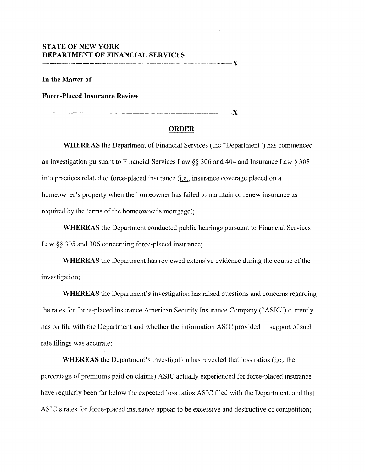## **STATE OF NEW YORK DEPARTMENT OF FINANCIAL SERVICES**

**--------------------------------------------------------------------------------X** 

**In the Matter of** 

**Force-Placed Insurance Review** 

**--------------------------------------------------------------------------------X** 

## **ORDER**

**WHEREAS** the Department of Financial Services (the "Department") has commenced an investigation pursuant to Financial Services Law §§ 306 and 404 and Insurance Law § 308 into practices related to force-placed insurance (i.e., insurance coverage placed on a homeowner's property when the homeowner has failed to maintain or renew insurance as required by the terms of the homeowner's mortgage);

**WHEREAS** the Department conducted public hearings pursuant to Financial Services Law §§ 305 and 306 concerning force-placed insurance;

**WHEREAS** the Department has reviewed extensive evidence during the course of the investigation;

**WHEREAS** the Department's investigation has raised questions and concerns regarding the rates for force-placed insurance American Security Insurance Company ("ASIC") currently has on file with the Department and whether the information ASIC provided in support of such rate filings was accurate;

**WHEREAS** the Department's investigation has revealed that loss ratios (i.e., the percentage of premiums paid on claims) ASIC actually experienced for force-placed insurance have regularly been far below the expected loss ratios ASIC filed with the Department, and that ASIC's rates for force-placed insurance appear to be excessive and destructive of competition;